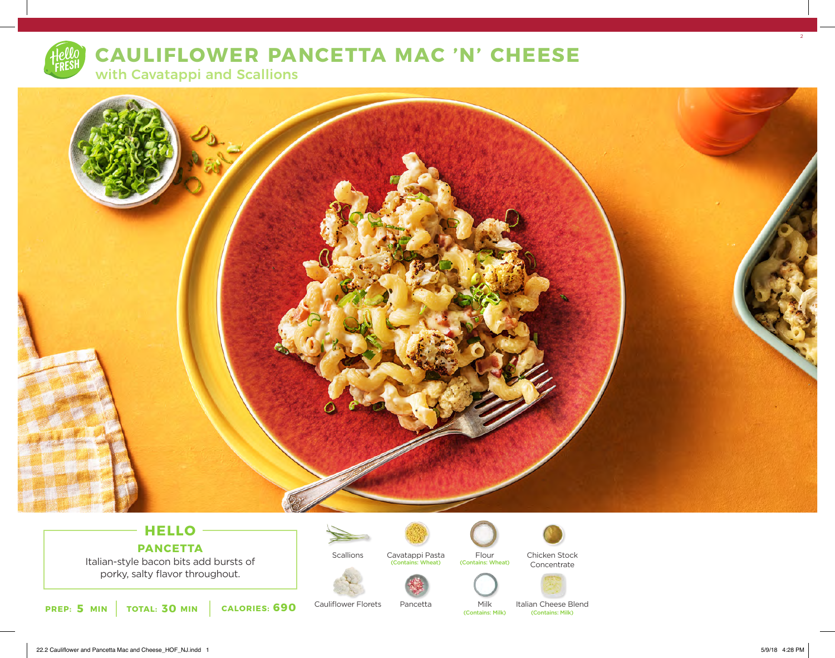

# **CAULIFLOWER PANCETTA MAC 'N' CHEESE**

with Cavatappi and Scallions



### **HELLO PANCETTA**

Italian-style bacon bits add bursts of porky, salty flavor throughout.



Cauliflower Florets

Scallions Cavatappi Pasta (Contains: Wheat)



Pancetta



Flour<br>(Contains: Wheat)

Milk<br>(Contains: Milk)

Italian Cheese Blend<br>
Contains: Milk)

Chicken Stock Concentrate

22.2 Cauliflower and Pancetta Mac and Cheese\_HOF\_NJ.indd 1 5/9/18 4:28 PM

 $2<sup>2</sup>$